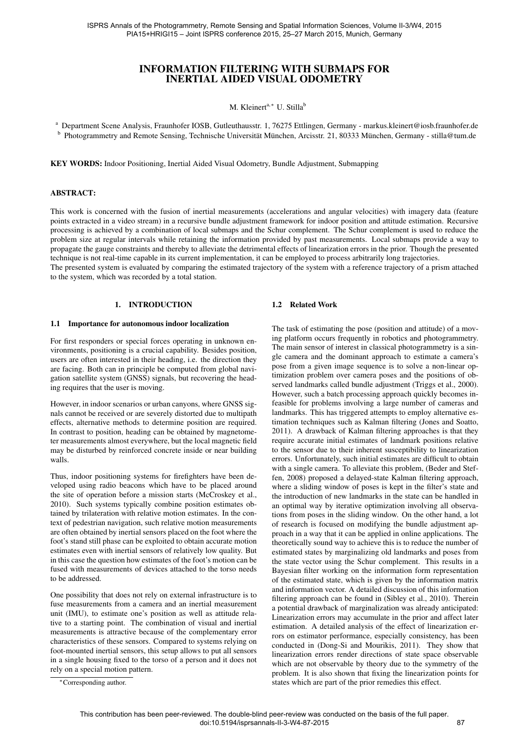# INFORMATION FILTERING WITH SUBMAPS FOR INERTIAL AIDED VISUAL ODOMETRY

#### M. Kleinert<sup>a,∗</sup> U. Stilla<sup>b</sup>

<sup>a</sup> Department Scene Analysis, Fraunhofer IOSB, Gutleuthausstr. 1, 76275 Ettlingen, Germany - markus.kleinert@iosb.fraunhofer.de <sup>b</sup> Photogrammetry and Remote Sensing, Technische Universität München, Arcisstr. 21, 80333 München, Germany - stilla@tum.de

KEY WORDS: Indoor Positioning, Inertial Aided Visual Odometry, Bundle Adjustment, Submapping

#### ABSTRACT:

This work is concerned with the fusion of inertial measurements (accelerations and angular velocities) with imagery data (feature points extracted in a video stream) in a recursive bundle adjustment framework for indoor position and attitude estimation. Recursive processing is achieved by a combination of local submaps and the Schur complement. The Schur complement is used to reduce the problem size at regular intervals while retaining the information provided by past measurements. Local submaps provide a way to propagate the gauge constraints and thereby to alleviate the detrimental effects of linearization errors in the prior. Though the presented technique is not real-time capable in its current implementation, it can be employed to process arbitrarily long trajectories.

The presented system is evaluated by comparing the estimated trajectory of the system with a reference trajectory of a prism attached to the system, which was recorded by a total station.

#### 1. INTRODUCTION

#### 1.1 Importance for autonomous indoor localization

For first responders or special forces operating in unknown environments, positioning is a crucial capability. Besides position, users are often interested in their heading, i.e. the direction they are facing. Both can in principle be computed from global navigation satellite system (GNSS) signals, but recovering the heading requires that the user is moving.

However, in indoor scenarios or urban canyons, where GNSS signals cannot be received or are severely distorted due to multipath effects, alternative methods to determine position are required. In contrast to position, heading can be obtained by magnetometer measurements almost everywhere, but the local magnetic field may be disturbed by reinforced concrete inside or near building walls.

Thus, indoor positioning systems for firefighters have been developed using radio beacons which have to be placed around the site of operation before a mission starts [\(McCroskey et al.,](#page-7-0) [2010\)](#page-7-0). Such systems typically combine position estimates obtained by trilateration with relative motion estimates. In the context of pedestrian navigation, such relative motion measurements are often obtained by inertial sensors placed on the foot where the foot's stand still phase can be exploited to obtain accurate motion estimates even with inertial sensors of relatively low quality. But in this case the question how estimates of the foot's motion can be fused with measurements of devices attached to the torso needs to be addressed.

One possibility that does not rely on external infrastructure is to fuse measurements from a camera and an inertial measurement unit (IMU), to estimate one's position as well as attitude relative to a starting point. The combination of visual and inertial measurements is attractive because of the complementary error characteristics of these sensors. Compared to systems relying on foot-mounted inertial sensors, this setup allows to put all sensors in a single housing fixed to the torso of a person and it does not rely on a special motion pattern.

<sup>∗</sup>Corresponding author.

#### 1.2 Related Work

The task of estimating the pose (position and attitude) of a moving platform occurs frequently in robotics and photogrammetry. The main sensor of interest in classical photogrammetry is a single camera and the dominant approach to estimate a camera's pose from a given image sequence is to solve a non-linear optimization problem over camera poses and the positions of observed landmarks called bundle adjustment [\(Triggs et al., 2000\)](#page-7-1). However, such a batch processing approach quickly becomes infeasible for problems involving a large number of cameras and landmarks. This has triggered attempts to employ alternative estimation techniques such as Kalman filtering [\(Jones and Soatto,](#page-7-2) [2011\)](#page-7-2). A drawback of Kalman filtering approaches is that they require accurate initial estimates of landmark positions relative to the sensor due to their inherent susceptibility to linearization errors. Unfortunately, such initial estimates are difficult to obtain with a single camera. To alleviate this problem, [\(Beder and Stef](#page-7-3)[fen, 2008\)](#page-7-3) proposed a delayed-state Kalman filtering approach, where a sliding window of poses is kept in the filter's state and the introduction of new landmarks in the state can be handled in an optimal way by iterative optimization involving all observations from poses in the sliding window. On the other hand, a lot of research is focused on modifying the bundle adjustment approach in a way that it can be applied in online applications. The theoretically sound way to achieve this is to reduce the number of estimated states by marginalizing old landmarks and poses from the state vector using the Schur complement. This results in a Bayesian filter working on the information form representation of the estimated state, which is given by the information matrix and information vector. A detailed discussion of this information filtering approach can be found in [\(Sibley et al., 2010\)](#page-7-4). Therein a potential drawback of marginalization was already anticipated: Linearization errors may accumulate in the prior and affect later estimation. A detailed analysis of the effect of linearization errors on estimator performance, especially consistency, has been conducted in [\(Dong-Si and Mourikis, 2011\)](#page-7-5). They show that linearization errors render directions of state space observable which are not observable by theory due to the symmetry of the problem. It is also shown that fixing the linearization points for states which are part of the prior remedies this effect.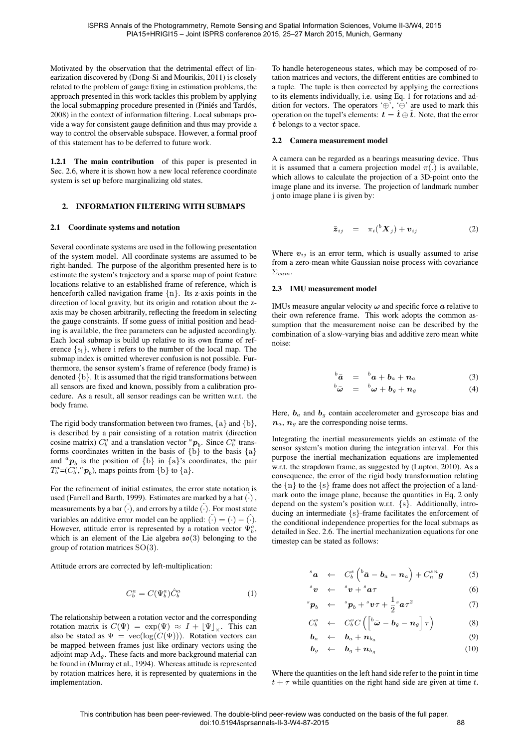Motivated by the observation that the detrimental effect of linearization discovered by [\(Dong-Si and Mourikis, 2011\)](#page-7-5) is closely related to the problem of gauge fixing in estimation problems, the approach presented in this work tackles this problem by applying the local submapping procedure presented in (Piniés and Tardós, [2008\)](#page-7-6) in the context of information filtering. Local submaps provide a way for consistent gauge definition and thus may provide a way to control the observable subspace. However, a formal proof of this statement has to be deferred to future work.

1.2.1 The main contribution of this paper is presented in Sec. [2.6,](#page-3-0) where it is shown how a new local reference coordinate system is set up before marginalizing old states.

#### <span id="page-1-6"></span>2. INFORMATION FILTERING WITH SUBMAPS

#### <span id="page-1-3"></span>2.1 Coordinate systems and notation

Several coordinate systems are used in the following presentation of the system model. All coordinate systems are assumed to be right-handed. The purpose of the algorithm presented here is to estimate the system's trajectory and a sparse map of point feature locations relative to an established frame of reference, which is henceforth called navigation frame  $\{n\}$ . Its z-axis points in the direction of local gravity, but its origin and rotation about the zaxis may be chosen arbitrarily, reflecting the freedom in selecting the gauge constraints. If some guess of initial position and heading is available, the free parameters can be adjusted accordingly. Each local submap is build up relative to its own frame of reference  $\{s_i\}$ , where i refers to the number of the local map. The submap index is omitted wherever confusion is not possible. Furthermore, the sensor system's frame of reference (body frame) is denoted {b}. It is assumed that the rigid transformations between all sensors are fixed and known, possibly from a calibration procedure. As a result, all sensor readings can be written w.r.t. the body frame.

The rigid body transformation between two frames,  $\{a\}$  and  $\{b\}$ , is described by a pair consisting of a rotation matrix (direction cosine matrix)  $C_b^a$  and a translation vector  ${}^a\mathbf{p}_b$ . Since  $C_b^a$  transforms coordinates written in the basis of  $\{\overrightarrow{b}\}$  to the basis  $\{a\}$ and  ${}^a\mathbf{p}_b$  is the position of  $\{b\}$  in  $\{a\}$ 's coordinates, the pair  $T_b^a = (C_b^a, ^a\mathbf{p}_b)$ , maps points from {b} to {a}.

For the refinement of initial estimates, the error state notation is used [\(Farrell and Barth, 1999\)](#page-7-7). Estimates are marked by a hat  $(\cdot)$ , measurements by a bar  $\overline{(\cdot)}$ , and errors by a tilde  $\overline{(\cdot)}$ . For most state variables an additive error model can be applied:  $(\tilde{\cdot}) = (\cdot) - (\tilde{\cdot})$ . However, attitude error is represented by a rotation vector  $\Psi_b^a$ , which is an element of the Lie algebra  $\mathfrak{so}(3)$  belonging to the group of rotation matrices SO(3).

Attitude errors are corrected by left-multiplication:

<span id="page-1-0"></span>
$$
C_b^a = C(\Psi_b^a) \hat{C}_b^a \tag{1}
$$

The relationship between a rotation vector and the corresponding rotation matrix is  $C(\Psi) = \exp(\Psi) \approx I + |\Psi|_{\vee}$ . This can also be stated as  $\Psi = \text{vec}(\log(C(\Psi)))$ . Rotation vectors can be mapped between frames just like ordinary vectors using the adjoint map  $Ad<sub>q</sub>$ . These facts and more background material can be found in [\(Murray et al., 1994\)](#page-7-8). Whereas attitude is represented by rotation matrices here, it is represented by quaternions in the implementation.

To handle heterogeneous states, which may be composed of rotation matrices and vectors, the different entities are combined to a tuple. The tuple is then corrected by applying the corrections to its elements individually, i.e. using Eq. [1](#page-1-0) for rotations and addition for vectors. The operators ' $\oplus$ ', ' $\ominus$ ' are used to mark this operation on the tupel's elements:  $\mathbf{t} = \hat{\mathbf{t}} \oplus \tilde{\mathbf{t}}$ . Note, that the error  $\tilde{t}$  belongs to a vector space.

#### <span id="page-1-4"></span>2.2 Camera measurement model

A camera can be regarded as a bearings measuring device. Thus it is assumed that a camera projection model  $\pi(.)$  is available, which allows to calculate the projection of a 3D-point onto the image plane and its inverse. The projection of landmark number j onto image plane i is given by:

<span id="page-1-1"></span>
$$
\bar{z}_{ij} = \pi_i({}^b X_j) + \boldsymbol{v}_{ij} \tag{2}
$$

Where  $v_{ij}$  is an error term, which is usually assumed to arise from a zero-mean white Gaussian noise process with covariance  $\Sigma$ <sub>cam</sub>.

#### <span id="page-1-5"></span>2.3 IMU measurement model

IMUs measure angular velocity  $\omega$  and specific force  $\alpha$  relative to their own reference frame. This work adopts the common assumption that the measurement noise can be described by the combination of a slow-varying bias and additive zero mean white noise:

$$
{}^{b}\bar{a} = {}^{b}a + b_{a} + n_{a} \tag{3}
$$

$$
{}^{b}\bar{\boldsymbol{\omega}} = {}^{b}\boldsymbol{\omega} + \boldsymbol{b}_{g} + \boldsymbol{n}_{g} \tag{4}
$$

Here,  $\mathbf{b}_a$  and  $\mathbf{b}_g$  contain accelerometer and gyroscope bias and  $n_a$ ,  $n_g$  are the corresponding noise terms.

Integrating the inertial measurements yields an estimate of the sensor system's motion during the integration interval. For this purpose the inertial mechanization equations are implemented w.r.t. the strapdown frame, as suggested by [\(Lupton, 2010\)](#page-7-9). As a consequence, the error of the rigid body transformation relating the  $\{n\}$  to the  $\{s\}$  frame does not affect the projection of a landmark onto the image plane, because the quantities in Eq. [2](#page-1-1) only depend on the system's position w.r.t. {s}. Additionally, introducing an intermediate {s}-frame facilitates the enforcement of the conditional independence properties for the local submaps as detailed in Sec. [2.6.](#page-3-0) The inertial mechanization equations for one timestep can be stated as follows:

<span id="page-1-2"></span>
$$
s_{\boldsymbol{a}} \leftarrow C_b^s \left( {}^b \bar{a} - b_a - n_a \right) + C_n^{s n} g \qquad (5)
$$

$$
s_{\boldsymbol{v}} \leftarrow s_{\boldsymbol{v}} + s_{\boldsymbol{a}\tau} \tag{6}
$$

$$
{}^s\boldsymbol{p}_b \quad \leftarrow \quad {}^s\boldsymbol{p}_b + {}^s\boldsymbol{v}\tau + \frac{1}{2} {}^s\boldsymbol{a}\tau^2 \tag{7}
$$

$$
C_b^s \leftarrow C_b^s C \left( \left[ {}^b \bar{\boldsymbol{\omega}} - \boldsymbol{b}_g - \boldsymbol{n}_g \right] \tau \right) \tag{8}
$$

$$
\mathbf{b}_a \quad \leftarrow \quad \mathbf{b}_a + \mathbf{n}_{b_a} \tag{9}
$$

$$
\boldsymbol{b}_g \quad \leftarrow \quad \boldsymbol{b}_g + \boldsymbol{n}_{b_g} \tag{10}
$$

Where the quantities on the left hand side refer to the point in time  $t + \tau$  while quantities on the right hand side are given at time t.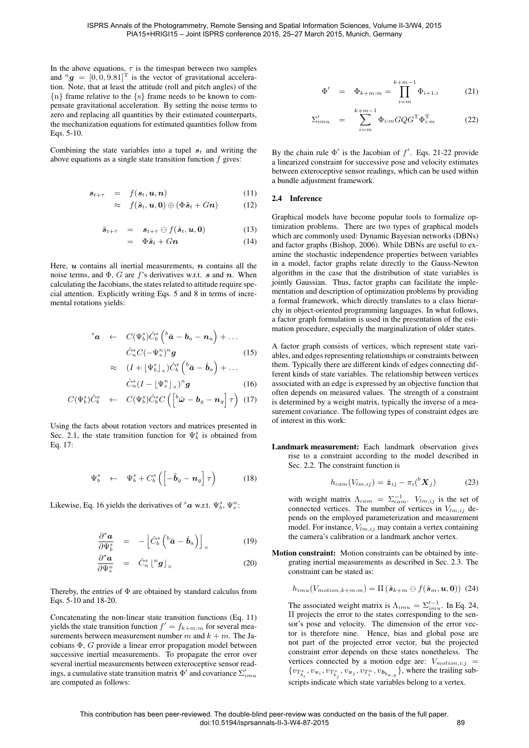In the above equations,  $\tau$  is the timespan between two samples and  ${}^{n}g = [0, 0, 9.81]$ <sup>T</sup> is the vector of gravitational acceleration. Note, that at least the attitude (roll and pitch angles) of the {n} frame relative to the {s} frame needs to be known to compensate gravitational acceleration. By setting the noise terms to zero and replacing all quantities by their estimated counterparts, the mechanization equations for estimated quantities follow from Eqs. [5-10.](#page-1-2)

Combining the state variables into a tupel  $s_t$  and writing the above equations as a single state transition function  $f$  gives:

<span id="page-2-3"></span>
$$
\mathbf{s}_{t+\tau} = f(\mathbf{s}_t, \mathbf{u}, \mathbf{n}) \tag{11}
$$

$$
\approx f(\hat{\boldsymbol{s}}_t, \boldsymbol{u}, \boldsymbol{0}) \oplus (\Phi \tilde{\boldsymbol{s}}_t + G \boldsymbol{n}) \tag{12}
$$

$$
\tilde{\boldsymbol{s}}_{t+\tau} = \boldsymbol{s}_{t+\tau} \ominus f(\hat{\boldsymbol{s}}_t, \boldsymbol{u}, \boldsymbol{0}) \qquad (13)
$$

$$
= \Phi \tilde{s}_t + Gn \tag{14}
$$

Here,  $u$  contains all inertial measurements,  $n$  contains all the noise terms, and  $\Phi$ , G are f's derivatives w.r.t. s and n. When calculating the Jacobians, the states related to attitude require special attention. Explicitly writing Eqs. [5](#page-1-2) and [8](#page-1-2) in terms of incremental rotations yields:

<span id="page-2-0"></span>
$$
s_{\mathbf{a}} \leftarrow C(\Psi_b^s) \hat{C}_b^s \left( {}^b \bar{a} - b_a - n_a \right) + \dots
$$

$$
\hat{C}_n^s C(-\Psi_s^n)^n \mathbf{g}
$$

$$
\approx (I + [\Psi_b^s]_\times) \hat{C}_b^s \left( {}^b \bar{a} - \hat{b}_a \right) + \dots
$$
 (15)

$$
\hat{C}_n^s (I - \lfloor \Psi_s^n \rfloor_{\times})^n \mathbf{g}
$$
 (16)

$$
C(\Psi_b^s)\hat{C}_b^s \leftarrow C(\Psi_b^s)\hat{C}_b^sC\left(\left[\begin{array}{cc} b_{\bar{\boldsymbol{\omega}}}-\boldsymbol{b}_g-\boldsymbol{n}_g\end{array}\right] \boldsymbol{\tau}\right) (17)
$$

Using the facts about rotation vectors and matrices presented in Sec. [2.1,](#page-1-3) the state transition function for  $\Psi_b^s$  is obtained from Eq. [17:](#page-2-0)

<span id="page-2-1"></span>
$$
\Psi_b^s \leftarrow \Psi_b^s + C_b^s \left( \left[ -\tilde{\boldsymbol{b}}_g - \boldsymbol{n}_g \right] \tau \right) \tag{18}
$$

Likewise, Eq. [16](#page-2-0) yields the derivatives of  ${}^s\boldsymbol{a}$  w.r.t.  $\Psi_b^s$ ,  $\Psi_s^n$ :

<span id="page-2-2"></span>
$$
\frac{\partial^s \boldsymbol{a}}{\partial \Psi_b^s} = - \left[ \hat{C}_b^s \left( {}^b \bar{\boldsymbol{a}} - \hat{\boldsymbol{b}}_a \right) \right]_{\times} \tag{19}
$$

$$
\frac{\partial^s \boldsymbol{a}}{\partial \Psi_s^n} = \hat{C}_n^s \left[ \begin{array}{c} n \boldsymbol{g} \end{array} \right]_{\times} \tag{20}
$$

Thereby, the entries of  $\Phi$  are obtained by standard calculus from Eqs. [5-10](#page-1-2) and [18](#page-2-1)[-20.](#page-2-2)

Concatenating the non-linear state transition functions (Eq. [11\)](#page-2-3) yields the state transition function  $f' = f_{k+m:m}$  for several measurements between measurement number m and  $k + m$ . The Jacobians Φ, G provide a linear error propagation model between successive inertial measurements. To propagate the error over several inertial measurements between exteroceptive sensor readings, a cumulative state transition matrix  $\Phi'$  and covariance  $\Sigma'_{imu}$ are computed as follows:

<span id="page-2-4"></span>
$$
\Phi' = \Phi_{k+m:m} = \prod_{i=m}^{k+m-1} \Phi_{i+1:i} \tag{21}
$$

$$
\Sigma'_{imu} = \sum_{i=m}^{k+m-1} \Phi_{i:m} G Q G^{\mathrm{T}} \Phi_{i:m}^{\mathrm{T}}
$$
 (22)

By the chain rule  $\Phi'$  is the Jacobian of  $f'$ . Eqs. [21-22](#page-2-4) provide a linearized constraint for successive pose and velocity estimates between exteroceptive sensor readings, which can be used within a bundle adjustment framework.

#### <span id="page-2-6"></span>2.4 Inference

Graphical models have become popular tools to formalize optimization problems. There are two types of graphical models which are commonly used: Dynamic Bayesian networks (DBNs) and factor graphs [\(Bishop, 2006\)](#page-7-10). While DBNs are useful to examine the stochastic independence properties between variables in a model, factor graphs relate directly to the Gauss-Newton algorithm in the case that the distribution of state variables is jointly Gaussian. Thus, factor graphs can facilitate the implementation and description of optimization problems by providing a formal framework, which directly translates to a class hierarchy in object-oriented programming languages. In what follows, a factor graph formulation is used in the presentation of the estimation procedure, especially the marginalization of older states.

A factor graph consists of vertices, which represent state variables, and edges representing relationships or constraints between them. Typically there are different kinds of edges connecting different kinds of state variables. The relationship between vertices associated with an edge is expressed by an objective function that often depends on measured values. The strength of a constraint is determined by a weight matrix, typically the inverse of a measurement covariance. The following types of constraint edges are of interest in this work:

Landmark measurement: Each landmark observation gives rise to a constraint according to the model described in Sec. [2.2.](#page-1-4) The constraint function is

$$
h_{cam}(V_{lm,ij}) = \bar{\boldsymbol{z}}_{ij} - \pi_i({}^b \boldsymbol{X}_j)
$$
 (23)

with weight matrix  $\Lambda_{cam} = \Sigma_{cam}^{-1}$ .  $V_{lm,ij}$  is the set of connected vertices. The number of vertices in  $V_{lm,ij}$  depends on the employed parameterization and measurement model. For instance,  $V_{lm,ij}$  may contain a vertex containing the camera's calibration or a landmark anchor vertex.

Motion constraint: Motion constraints can be obtained by integrating inertial measurements as described in Sec. [2.3.](#page-1-5) The constraint can be stated as:

<span id="page-2-5"></span>
$$
h_{imu}(V_{motion, k+m:m}) = \Pi\left(\hat{\boldsymbol{s}}_{k+m} \ominus f(\hat{\boldsymbol{s}}_{m}, \boldsymbol{u}, \boldsymbol{0})\right)
$$
 (24)

The associated weight matrix is  $\Lambda_{imu} = \sum_{imu}^{t-1}$ . In Eq. [24,](#page-2-5) Π projects the error to the states corresponding to the sensor's pose and velocity. The dimension of the error vector is therefore nine. Hence, bias and global pose are not part of the projected error vector, but the projected constraint error depends on these states nonetheless. The vertices connected by a motion edge are:  $V_{motion,i:j}$  =  $\{v_{T_{b_i}^s}, v_{\boldsymbol{v}_i}, v_{T_{b_j}^s}, v_{\boldsymbol{v}_j}, v_{T_s^n}, v_{\boldsymbol{b}_{b_{a,g}}}\}$ , where the trailing subscripts indicate which state variables belong to a vertex.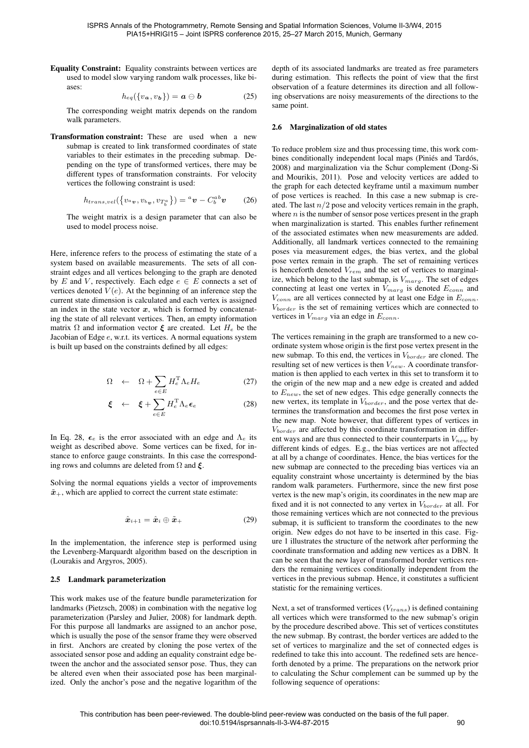Equality Constraint: Equality constraints between vertices are used to model slow varying random walk processes, like biases:

$$
h_{eq}(\{v_a, v_b\}) = \mathbf{a} \oplus \mathbf{b} \tag{25}
$$

The corresponding weight matrix depends on the random walk parameters.

Transformation constraint: These are used when a new submap is created to link transformed coordinates of state variables to their estimates in the preceding submap. Depending on the type of transformed vertices, there may be different types of transformation constraints. For velocity vertices the following constraint is used:

$$
h_{trans,vel}(\left\{v_a_v, v_{b_v}, v_{T_b^a}\right\}) = {}^a\boldsymbol{v} - C_b^{ab}\boldsymbol{v} \qquad (26)
$$

The weight matrix is a design parameter that can also be used to model process noise.

Here, inference refers to the process of estimating the state of a system based on available measurements. The sets of all constraint edges and all vertices belonging to the graph are denoted by E and V, respectively. Each edge  $e \in E$  connects a set of vertices denoted  $V(e)$ . At the beginning of an inference step the current state dimension is calculated and each vertex is assigned an index in the state vector  $x$ , which is formed by concatenating the state of all relevant vertices. Then, an empty information matrix  $\Omega$  and information vector  $\boldsymbol{\xi}$  are created. Let  $H_e$  be the Jacobian of Edge e, w.r.t. its vertices. A normal equations system is built up based on the constraints defined by all edges:

<span id="page-3-1"></span>
$$
\Omega \quad \leftarrow \quad \Omega + \sum_{e \in E} H_e^{\mathrm{T}} \Lambda_e H_e \tag{27}
$$

$$
\boldsymbol{\xi} \quad \leftarrow \quad \boldsymbol{\xi} + \sum_{e \in E} H_e^{\mathrm{T}} \Lambda_e \boldsymbol{\epsilon}_e \tag{28}
$$

In Eq. [28,](#page-3-1)  $\epsilon_e$  is the error associated with an edge and  $\Lambda_e$  its weight as described above. Some vertices can be fixed, for instance to enforce gauge constraints. In this case the corresponding rows and columns are deleted from  $\Omega$  and  $\xi$ .

Solving the normal equations yields a vector of improvements  $\tilde{x}_{+}$ , which are applied to correct the current state estimate:

$$
\hat{\boldsymbol{x}}_{i+1} = \hat{\boldsymbol{x}}_i \oplus \tilde{\boldsymbol{x}}_+
$$
 (29)

In the implementation, the inference step is performed using the Levenberg-Marquardt algorithm based on the description in [\(Lourakis and Argyros, 2005\)](#page-7-11).

#### 2.5 Landmark parameterization

This work makes use of the feature bundle parameterization for landmarks [\(Pietzsch, 2008\)](#page-7-12) in combination with the negative log parameterization [\(Parsley and Julier, 2008\)](#page-7-13) for landmark depth. For this purpose all landmarks are assigned to an anchor pose, which is usually the pose of the sensor frame they were observed in first. Anchors are created by cloning the pose vertex of the associated sensor pose and adding an equality constraint edge between the anchor and the associated sensor pose. Thus, they can be altered even when their associated pose has been marginalized. Only the anchor's pose and the negative logarithm of the depth of its associated landmarks are treated as free parameters during estimation. This reflects the point of view that the first observation of a feature determines its direction and all following observations are noisy measurements of the directions to the same point.

#### <span id="page-3-0"></span>2.6 Marginalization of old states

To reduce problem size and thus processing time, this work combines conditionally independent local maps (Piniés and Tardós, [2008\)](#page-7-6) and marginalization via the Schur complement [\(Dong-Si](#page-7-5) [and Mourikis, 2011\)](#page-7-5). Pose and velocity vertices are added to the graph for each detected keyframe until a maximum number of pose vertices is reached. In this case a new submap is created. The last  $n/2$  pose and velocity vertices remain in the graph, where  $n$  is the number of sensor pose vertices present in the graph when marginalization is started. This enables further refinement of the associated estimates when new measurements are added. Additionally, all landmark vertices connected to the remaining poses via measurement edges, the bias vertex, and the global pose vertex remain in the graph. The set of remaining vertices is henceforth denoted  $V_{rem}$  and the set of vertices to marginalize, which belong to the last submap, is  $V_{marg}$ . The set of edges connecting at least one vertex in  $V_{marg}$  is denoted  $E_{conn}$  and  $V_{conn}$  are all vertices connected by at least one Edge in  $E_{conn}$ . Vborder is the set of remaining vertices which are connected to vertices in  $V_{marg}$  via an edge in  $E_{conn}$ .

The vertices remaining in the graph are transformed to a new coordinate system whose origin is the first pose vertex present in the new submap. To this end, the vertices in  $V_{border}$  are cloned. The resulting set of new vertices is then  $V_{new}$ . A coordinate transformation is then applied to each vertex in this set to transform it to the origin of the new map and a new edge is created and added to  $E_{new}$ , the set of new edges. This edge generally connects the new vertex, its template in  $V_{border}$ , and the pose vertex that determines the transformation and becomes the first pose vertex in the new map. Note however, that different types of vertices in  $V_{border}$  are affected by this coordinate transformation in different ways and are thus connected to their counterparts in  $V_{new}$  by different kinds of edges. E.g., the bias vertices are not affected at all by a change of coordinates. Hence, the bias vertices for the new submap are connected to the preceding bias vertices via an equality constraint whose uncertainty is determined by the bias random walk parameters. Furthermore, since the new first pose vertex is the new map's origin, its coordinates in the new map are fixed and it is not connected to any vertex in  $V_{border}$  at all. For those remaining vertices which are not connected to the previous submap, it is sufficient to transform the coordinates to the new origin. New edges do not have to be inserted in this case. Figure [1](#page-4-0) illustrates the structure of the network after performing the coordinate transformation and adding new vertices as a DBN. It can be seen that the new layer of transformed border vertices renders the remaining vertices conditionally independent from the vertices in the previous submap. Hence, it constitutes a sufficient statistic for the remaining vertices.

Next, a set of transformed vertices  $(V_{trans})$  is defined containing all vertices which were transformed to the new submap's origin by the procedure described above. This set of vertices constitutes the new submap. By contrast, the border vertices are added to the set of vertices to marginalize and the set of connected edges is redefined to take this into account. The redefined sets are henceforth denoted by a prime. The preparations on the network prior to calculating the Schur complement can be summed up by the following sequence of operations: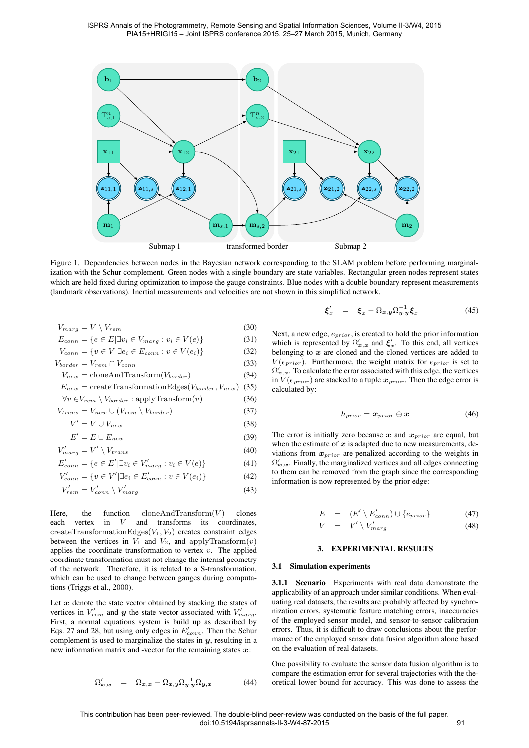

<span id="page-4-0"></span>Figure 1. Dependencies between nodes in the Bayesian network corresponding to the SLAM problem before performing marginalization with the Schur complement. Green nodes with a single boundary are state variables. Rectangular green nodes represent states which are held fixed during optimization to impose the gauge constraints. Blue nodes with a double boundary represent measurements (landmark observations). Inertial measurements and velocities are not shown in this simplified network.

$$
V_{marg} = V \setminus V_{rem} \tag{30}
$$

$$
E_{conn} = \{e \in E | \exists v_i \in V_{marg} : v_i \in V(e)\}\tag{31}
$$

$$
V_{conn} = \{ v \in V | \exists e_i \in E_{conn} : v \in V(e_i) \}
$$
(32)

$$
V_{border} = V_{rem} \cap V_{conn}
$$
\n(33)

$$
V_{new} = \text{cloneAndTransform}(V_{border})
$$
\n
$$
F_{\text{correct}} = \text{concat-Transform}(\text{Image} \times V) \tag{34}
$$

$$
E_{new} = \text{create} \text{transformation} \text{Eages}(V_{border}, V_{new}) \tag{35}
$$

$$
\forall v \in V_{rem} \setminus V_{border} : \text{apply} \text{Transform}(v) \tag{36}
$$

$$
V_{trans} = V_{new} \cup (V_{rem} \setminus V_{border}) \tag{37}
$$

$$
V' = V \cup V_{new} \tag{38}
$$

$$
E' = E \cup E_{new} \tag{39}
$$

$$
V'_{marg} = V' \setminus V_{trans}
$$
\n<sup>(40)</sup>

$$
E'_{conn} = \{ e \in E' | \exists v_i \in V'_{marg} : v_i \in V(e) \}
$$
 (41)

$$
V'_{conn} = \{ v \in V' | \exists e_i \in E'_{conn} : v \in V(e_i) \}
$$
 (42)

$$
V'_{rem} = V'_{conn} \setminus V'_{marg}
$$
\n(43)

Here, the function  $\text{cloneAndTransform}(V)$  clones each vertex in  $V$  and transforms its coordinates, createTransformationEdges $(V_1, V_2)$  creates constraint edges between the vertices in  $V_1$  and  $V_2$ , and applyTransform $(v)$ applies the coordinate transformation to vertex  $v$ . The applied coordinate transformation must not change the internal geometry of the network. Therefore, it is related to a S-transformation, which can be used to change between gauges during computations [\(Triggs et al., 2000\)](#page-7-1).

Let  $x$  denote the state vector obtained by stacking the states of vertices in  $V'_{rem}$  and  $y$  the state vector associated with  $V'_{marg}$ . First, a normal equations system is build up as described by Eqs. [27](#page-3-1) and [28,](#page-3-1) but using only edges in  $E'_{conn}$ . Then the Schur complement is used to marginalize the states in  $y$ , resulting in a new information matrix and -vector for the remaining states  $x$ :

$$
\Omega_{\bm{x},\bm{x}}' = \Omega_{\bm{x},\bm{x}} - \Omega_{\bm{x},\bm{y}} \Omega_{\bm{y},\bm{y}}^{-1} \Omega_{\bm{y},\bm{x}} \tag{44}
$$

$$
\boldsymbol{\xi}'_x = \boldsymbol{\xi}_x - \Omega_{\boldsymbol{x},\boldsymbol{y}} \Omega_{\boldsymbol{y},\boldsymbol{y}}^{-1} \boldsymbol{\xi}_x \qquad (45)
$$

Next, a new edge,  $e_{prior}$ , is created to hold the prior information which is represented by  $\Omega'_{x,x}$  and  $\xi'_{x}$ . To this end, all vertices belonging to  $x$  are cloned and the cloned vertices are added to  $V(e_{prior})$ . Furthermore, the weight matrix for  $e_{prior}$  is set to  $\Omega_{\bm{x},\bm{x}}'$ . To calculate the error associated with this edge, the vertices in  $V(e_{prior})$  are stacked to a tuple  $x_{prior}$ . Then the edge error is calculated by:

$$
h_{prior} = \boldsymbol{x}_{prior} \ominus \boldsymbol{x} \tag{46}
$$

The error is initially zero because x and  $x_{prior}$  are equal, but when the estimate of  $x$  is adapted due to new measurements, deviations from  $x_{prior}$  are penalized according to the weights in  $\Omega_{\bm{x},\bm{x}}'$ . Finally, the marginalized vertices and all edges connecting to them can be removed from the graph since the corresponding information is now represented by the prior edge:

$$
E = (E' \setminus E'_{conn}) \cup \{e_{prior}\}
$$
  
\n
$$
V = V' \setminus V'_{marg}
$$
 (47)

# 3. EXPERIMENTAL RESULTS

# 3.1 Simulation experiments

3.1.1 Scenario Experiments with real data demonstrate the applicability of an approach under similar conditions. When evaluating real datasets, the results are probably affected by synchronization errors, systematic feature matching errors, inaccuracies of the employed sensor model, and sensor-to-sensor calibration errors. Thus, it is difficult to draw conclusions about the performance of the employed sensor data fusion algorithm alone based on the evaluation of real datasets.

One possibility to evaluate the sensor data fusion algorithm is to compare the estimation error for several trajectories with the theoretical lower bound for accuracy. This was done to assess the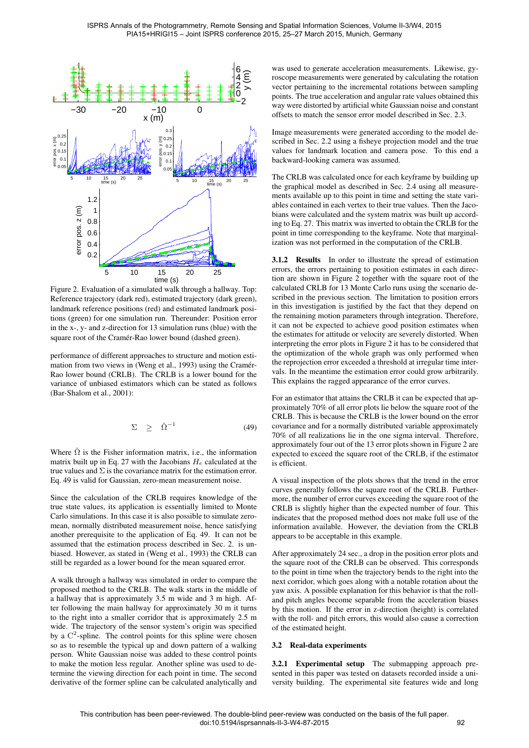

<span id="page-5-1"></span>Figure 2. Evaluation of a simulated walk through a hallway. Top: Reference trajectory (dark red), estimated trajectory (dark green), landmark reference positions (red) and estimated landmark positions (green) for one simulation run. Thereunder: Position error in the x-, y- and z-direction for 13 simulation runs (blue) with the square root of the Cramér-Rao lower bound (dashed green).

performance of different approaches to structure and motion esti-mation from two views in [\(Weng et al., 1993\)](#page-7-14) using the Cramér-Rao lower bound (CRLB). The CRLB is a lower bound for the variance of unbiased estimators which can be stated as follows [\(Bar-Shalom et al., 2001\)](#page-7-15):

<span id="page-5-0"></span>
$$
\Sigma \geq \check{\Omega}^{-1} \tag{49}
$$

Where  $\check{\Omega}$  is the Fisher information matrix, i.e., the information matrix built up in Eq. [27](#page-3-1) with the Jacobians  $H_e$  calculated at the true values and  $\Sigma$  is the covariance matrix for the estimation error. Eq. [49](#page-5-0) is valid for Gaussian, zero-mean measurement noise.

Since the calculation of the CRLB requires knowledge of the true state values, its application is essentially limited to Monte Carlo simulations. In this case it is also possible to simulate zeromean, normally distributed measurement noise, hence satisfying another prerequisite to the application of Eq. [49.](#page-5-0) It can not be assumed that the estimation process described in Sec. [2.](#page-1-6) is unbiased. However, as stated in [\(Weng et al., 1993\)](#page-7-14) the CRLB can still be regarded as a lower bound for the mean squared error.

A walk through a hallway was simulated in order to compare the proposed method to the CRLB. The walk starts in the middle of a hallway that is approximately 3.5 m wide and 3 m high. After following the main hallway for approximately 30 m it turns to the right into a smaller corridor that is approximately 2.5 m wide. The trajectory of the sensor system's origin was specified by a  $C^2$ -spline. The control points for this spline were chosen so as to resemble the typical up and down pattern of a walking person. White Gaussian noise was added to these control points to make the motion less regular. Another spline was used to determine the viewing direction for each point in time. The second derivative of the former spline can be calculated analytically and

was used to generate acceleration measurements. Likewise, gyroscope measurements were generated by calculating the rotation vector pertaining to the incremental rotations between sampling points. The true acceleration and angular rate values obtained this way were distorted by artificial white Gaussian noise and constant offsets to match the sensor error model described in Sec. [2.3.](#page-1-5)

Image measurements were generated according to the model described in Sec. [2.2](#page-1-4) using a fisheye projection model and the true values for landmark location and camera pose. To this end a backward-looking camera was assumed.

The CRLB was calculated once for each keyframe by building up the graphical model as described in Sec. [2.4](#page-2-6) using all measurements available up to this point in time and setting the state variables contained in each vertex to their true values. Then the Jacobians were calculated and the system matrix was built up according to Eq. [27.](#page-3-1) This matrix was inverted to obtain the CRLB for the point in time corresponding to the keyframe. Note that marginalization was not performed in the computation of the CRLB.

<span id="page-5-2"></span>3.1.2 Results In order to illustrate the spread of estimation errors, the errors pertaining to position estimates in each direction are shown in Figure [2](#page-5-1) together with the square root of the calculated CRLB for 13 Monte Carlo runs using the scenario described in the previous section. The limitation to position errors in this investigation is justified by the fact that they depend on the remaining motion parameters through integration. Therefore, it can not be expected to achieve good position estimates when the estimates for attitude or velocity are severely distorted. When interpreting the error plots in Figure [2](#page-5-1) it has to be considered that the optimization of the whole graph was only performed when the reprojection error exceeded a threshold at irregular time intervals. In the meantime the estimation error could grow arbitrarily. This explains the ragged appearance of the error curves.

For an estimator that attains the CRLB it can be expected that approximately 70% of all error plots lie below the square root of the CRLB. This is because the CRLB is the lower bound on the error covariance and for a normally distributed variable approximately 70% of all realizations lie in the one sigma interval. Therefore, approximately four out of the 13 error plots shown in Figure [2](#page-5-1) are expected to exceed the square root of the CRLB, if the estimator is efficient.

A visual inspection of the plots shows that the trend in the error curves generally follows the square root of the CRLB. Furthermore, the number of error curves exceeding the square root of the CRLB is slightly higher than the expected number of four. This indicates that the proposed method does not make full use of the information available. However, the deviation from the CRLB appears to be acceptable in this example.

After approximately 24 sec., a drop in the position error plots and the square root of the CRLB can be observed. This corresponds to the point in time when the trajectory bends to the right into the next corridor, which goes along with a notable rotation about the yaw axis. A possible explanation for this behavior is that the rolland pitch angles become separable from the acceleration biases by this motion. If the error in z-direction (height) is correlated with the roll- and pitch errors, this would also cause a correction of the estimated height.

### 3.2 Real-data experiments

3.2.1 Experimental setup The submapping approach presented in this paper was tested on datasets recorded inside a university building. The experimental site features wide and long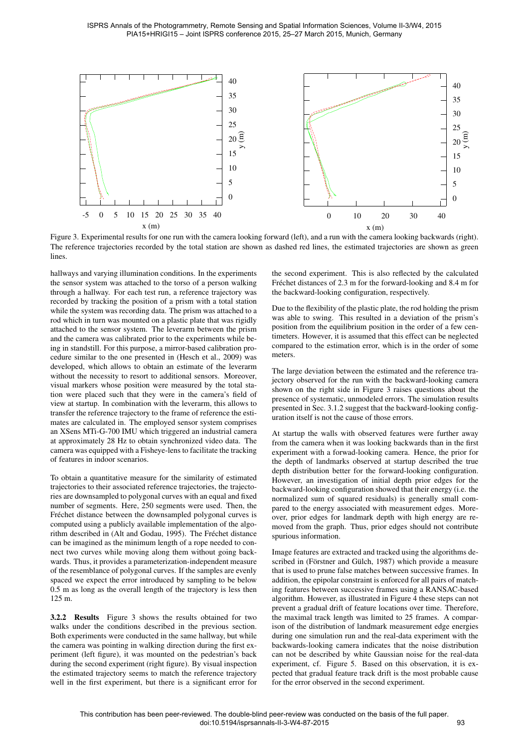

<span id="page-6-0"></span>Figure 3. Experimental results for one run with the camera looking forward (left), and a run with the camera looking backwards (right). The reference trajectories recorded by the total station are shown as dashed red lines, the estimated trajectories are shown as green lines.

hallways and varying illumination conditions. In the experiments the sensor system was attached to the torso of a person walking through a hallway. For each test run, a reference trajectory was recorded by tracking the position of a prism with a total station while the system was recording data. The prism was attached to a rod which in turn was mounted on a plastic plate that was rigidly attached to the sensor system. The leverarm between the prism and the camera was calibrated prior to the experiments while being in standstill. For this purpose, a mirror-based calibration procedure similar to the one presented in [\(Hesch et al., 2009\)](#page-7-16) was developed, which allows to obtain an estimate of the leverarm without the necessity to resort to additional sensors. Moreover, visual markers whose position were measured by the total station were placed such that they were in the camera's field of view at startup. In combination with the leverarm, this allows to transfer the reference trajectory to the frame of reference the estimates are calculated in. The employed sensor system comprises an XSens MTi-G-700 IMU which triggered an industrial camera at approximately 28 Hz to obtain synchronized video data. The camera was equipped with a Fisheye-lens to facilitate the tracking of features in indoor scenarios.

To obtain a quantitative measure for the similarity of estimated trajectories to their associated reference trajectories, the trajectories are downsampled to polygonal curves with an equal and fixed number of segments. Here, 250 segments were used. Then, the Fréchet distance between the downsampled polygonal curves is computed using a publicly available implementation of the algorithm described in [\(Alt and Godau, 1995\)](#page-7-17). The Frechet distance ´ can be imagined as the minimum length of a rope needed to connect two curves while moving along them without going backwards. Thus, it provides a parameterization-independent measure of the resemblance of polygonal curves. If the samples are evenly spaced we expect the error introduced by sampling to be below 0.5 m as long as the overall length of the trajectory is less then 125 m.

3.2.2 Results Figure [3](#page-6-0) shows the results obtained for two walks under the conditions described in the previous section. Both experiments were conducted in the same hallway, but while the camera was pointing in walking direction during the first experiment (left figure), it was mounted on the pedestrian's back during the second experiment (right figure). By visual inspection the estimated trajectory seems to match the reference trajectory well in the first experiment, but there is a significant error for the second experiment. This is also reflected by the calculated Fréchet distances of 2.3 m for the forward-looking and 8.4 m for the backward-looking configuration, respectively.

Due to the flexibility of the plastic plate, the rod holding the prism was able to swing. This resulted in a deviation of the prism's position from the equilibrium position in the order of a few centimeters. However, it is assumed that this effect can be neglected compared to the estimation error, which is in the order of some meters.

The large deviation between the estimated and the reference trajectory observed for the run with the backward-looking camera shown on the right side in Figure [3](#page-6-0) raises questions about the presence of systematic, unmodeled errors. The simulation results presented in Sec. [3.1.2](#page-5-2) suggest that the backward-looking configuration itself is not the cause of those errors.

At startup the walls with observed features were further away from the camera when it was looking backwards than in the first experiment with a forwad-looking camera. Hence, the prior for the depth of landmarks observed at startup described the true depth distribution better for the forward-looking configuration. However, an investigation of initial depth prior edges for the backward-looking configuration showed that their energy (i.e. the normalized sum of squared residuals) is generally small compared to the energy associated with measurement edges. Moreover, prior edges for landmark depth with high energy are removed from the graph. Thus, prior edges should not contribute spurious information.

Image features are extracted and tracked using the algorithms described in (Förstner and Gülch, 1987) which provide a measure that is used to prune false matches between successive frames. In addition, the epipolar constraint is enforced for all pairs of matching features between successive frames using a RANSAC-based algorithm. However, as illustrated in Figure [4](#page-7-19) these steps can not prevent a gradual drift of feature locations over time. Therefore, the maximal track length was limited to 25 frames. A comparison of the distribution of landmark measurement edge energies during one simulation run and the real-data experiment with the backwards-looking camera indicates that the noise distribution can not be described by white Gaussian noise for the real-data experiment, cf. Figure [5.](#page-7-20) Based on this observation, it is expected that gradual feature track drift is the most probable cause for the error observed in the second experiment.